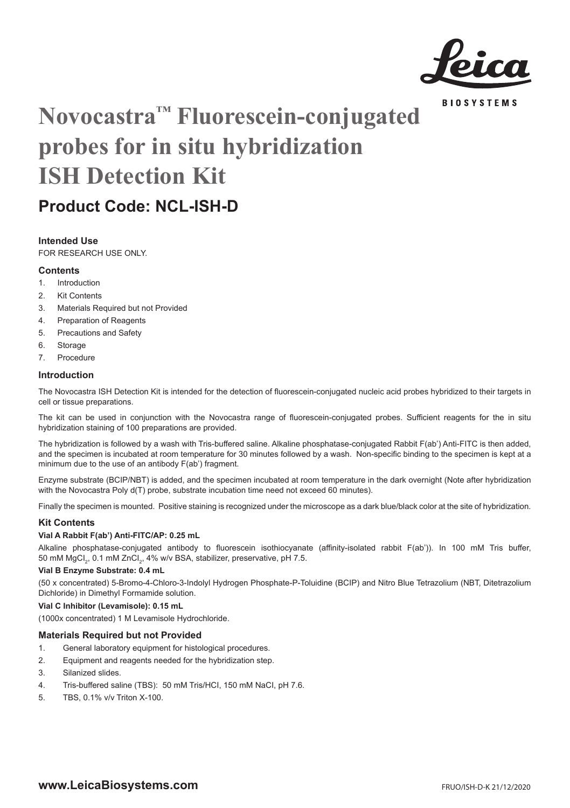

**BIOSYSTEMS** 

# **Novocastra™ Fluorescein-conjugated probes for in situ hybridization ISH Detection Kit Product Code: NCL-ISH-D**

## **Intended Use**

FOR RESEARCH USE ONLY.

## **Contents**

- 1. Introduction
- 2. Kit Contents
- 3. Materials Required but not Provided
- 4. Preparation of Reagents
- 5. Precautions and Safety
- 6. Storage
- 7. Procedure

## **Introduction**

The Novocastra ISH Detection Kit is intended for the detection of fluorescein-conjugated nucleic acid probes hybridized to their targets in cell or tissue preparations.

The kit can be used in conjunction with the Novocastra range of fluorescein-conjugated probes. Sufficient reagents for the in situ hybridization staining of 100 preparations are provided.

The hybridization is followed by a wash with Tris-buffered saline. Alkaline phosphatase-conjugated Rabbit F(ab') Anti-FITC is then added, and the specimen is incubated at room temperature for 30 minutes followed by a wash. Non-specific binding to the specimen is kept at a minimum due to the use of an antibody F(ab') fragment.

Enzyme substrate (BCIP/NBT) is added, and the specimen incubated at room temperature in the dark overnight (Note after hybridization with the Novocastra Poly d(T) probe, substrate incubation time need not exceed 60 minutes).

Finally the specimen is mounted. Positive staining is recognized under the microscope as a dark blue/black color at the site of hybridization.

# **Kit Contents**

#### **Vial A Rabbit F(ab') Anti-FITC/AP: 0.25 mL**

Alkaline phosphatase-conjugated antibody to fluorescein isothiocyanate (affinity-isolated rabbit F(ab')). In 100 mM Tris buffer, 50 mM MgCl $_2$ , 0.1 mM ZnCl $_2$ , 4% w/v BSA, stabilizer, preservative, pH 7.5.

#### **Vial B Enzyme Substrate: 0.4 mL**

(50 x concentrated) 5-Bromo-4-Chloro-3-Indolyl Hydrogen Phosphate-P-Toluidine (BCIP) and Nitro Blue Tetrazolium (NBT, Ditetrazolium Dichloride) in Dimethyl Formamide solution.

#### **Vial C Inhibitor (Levamisole): 0.15 mL**

(1000x concentrated) 1 M Levamisole Hydrochloride.

# **Materials Required but not Provided**

- 1. General laboratory equipment for histological procedures.
- 2. Equipment and reagents needed for the hybridization step.
- 3. Silanized slides.
- 4. Tris-buffered saline (TBS): 50 mM Tris/HCI, 150 mM NaCI, pH 7.6.
- 5. TBS, 0.1% v/v Triton X-100.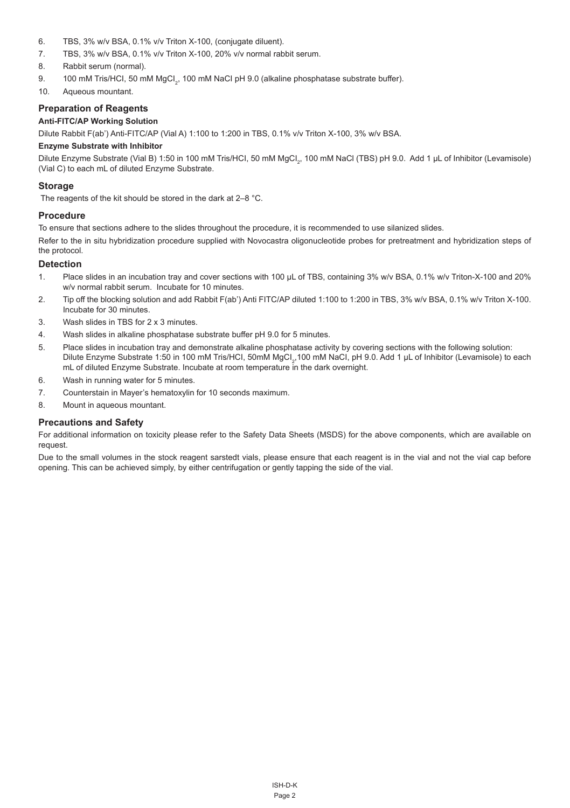- 6. TBS, 3% w/v BSA, 0.1% v/v Triton X-100, (conjugate diluent).
- 7. TBS, 3% w/v BSA, 0.1% v/v Triton X-100, 20% v/v normal rabbit serum.
- 8. Rabbit serum (normal).
- 9. 100 mM Tris/HCI, 50 mM MgCl<sub>2</sub>, 100 mM NaCI pH 9.0 (alkaline phosphatase substrate buffer).
- 10. Aqueous mountant.

# **Preparation of Reagents**

## **Anti-FITC/AP Working Solution**

Dilute Rabbit F(ab') Anti-FITC/AP (Vial A) 1:100 to 1:200 in TBS, 0.1% v/v Triton X-100, 3% w/v BSA.

# **Enzyme Substrate with Inhibitor**

Dilute Enzyme Substrate (Vial B) 1:50 in 100 mM Tris/HCl, 50 mM MgCl<sub>2</sub>, 100 mM NaCl (TBS) pH 9.0. Add 1 μL of Inhibitor (Levamisole) (Vial C) to each mL of diluted Enzyme Substrate.

## **Storage**

The reagents of the kit should be stored in the dark at 2–8 °C.

## **Procedure**

To ensure that sections adhere to the slides throughout the procedure, it is recommended to use silanized slides.

Refer to the in situ hybridization procedure supplied with Novocastra oligonucleotide probes for pretreatment and hybridization steps of the protocol.

## **Detection**

- 1. Place slides in an incubation tray and cover sections with 100 µL of TBS, containing 3% w/v BSA, 0.1% w/v Triton-X-100 and 20% w/v normal rabbit serum. Incubate for 10 minutes.
- 2. Tip off the blocking solution and add Rabbit F(ab') Anti FITC/AP diluted 1:100 to 1:200 in TBS, 3% w/v BSA, 0.1% w/v Triton X-100. Incubate for 30 minutes.
- 3. Wash slides in TBS for 2 x 3 minutes.
- 4. Wash slides in alkaline phosphatase substrate buffer pH 9.0 for 5 minutes.
- 5. Place slides in incubation tray and demonstrate alkaline phosphatase activity by covering sections with the following solution: Dilute Enzyme Substrate 1:50 in 100 mM Tris/HCl, 50mM MgCl<sub>2</sub>,100 mM NaCl, pH 9.0. Add 1 μL of Inhibitor (Levamisole) to each mL of diluted Enzyme Substrate. Incubate at room temperature in the dark overnight.
- 6. Wash in running water for 5 minutes.
- 7. Counterstain in Mayer's hematoxylin for 10 seconds maximum.
- 8. Mount in aqueous mountant.

# **Precautions and Safety**

For additional information on toxicity please refer to the Safety Data Sheets (MSDS) for the above components, which are available on request.

Due to the small volumes in the stock reagent sarstedt vials, please ensure that each reagent is in the vial and not the vial cap before opening. This can be achieved simply, by either centrifugation or gently tapping the side of the vial.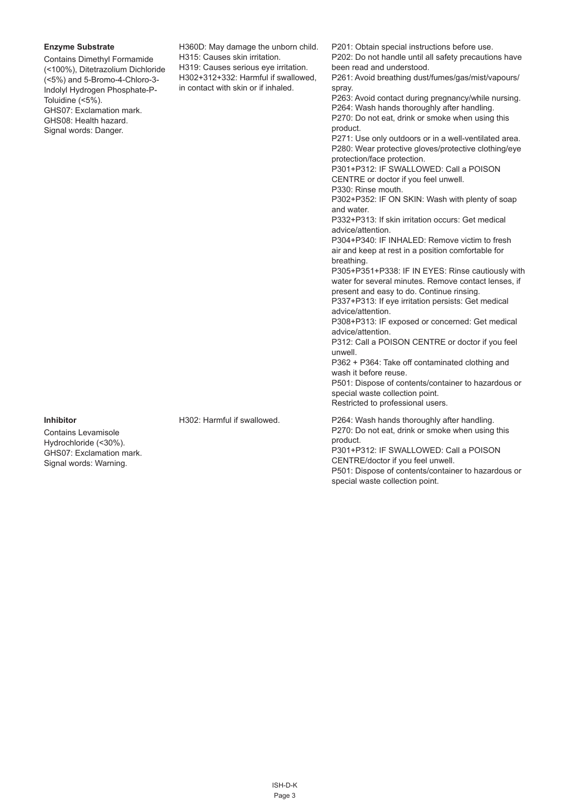Contains Dimethyl Formamide (<5%) and 5-Bromo-4-Chloro-3- Indolyl Hydrogen Phosphate-P-Toluidine (<5%). GHS07: Exclamation mark. GHS08: Health hazard. Signal words: Danger.

(<100%), Ditetrazolium Dichloride H319: Causes serious eye irritation. H360D: May damage the unborn child. H315: Causes skin irritation. H302+312+332: Harmful if swallowed, in contact with skin or if inhaled.

P201: Obtain special instructions before use.

P202: Do not handle until all safety precautions have been read and understood.

P261: Avoid breathing dust/fumes/gas/mist/vapours/ spray.

P263: Avoid contact during pregnancy/while nursing. P264: Wash hands thoroughly after handling. P270: Do not eat, drink or smoke when using this product.

P271: Use only outdoors or in a well-ventilated area. P280: Wear protective gloves/protective clothing/eye protection/face protection.

P301+P312: IF SWALLOWED: Call a POISON CENTRE or doctor if you feel unwell.

P330: Rinse mouth.

P302+P352: IF ON SKIN: Wash with plenty of soap and water.

P332+P313: If skin irritation occurs: Get medical advice/attention.

P304+P340: IF INHALED: Remove victim to fresh air and keep at rest in a position comfortable for breathing.

P305+P351+P338: IF IN EYES: Rinse cautiously with water for several minutes. Remove contact lenses, if present and easy to do. Continue rinsing.

P337+P313: If eye irritation persists: Get medical advice/attention.

P308+P313: IF exposed or concerned: Get medical advice/attention.

P312: Call a POISON CENTRE or doctor if you feel unwell.

P362 + P364: Take off contaminated clothing and wash it before reuse.

P501: Dispose of contents/container to hazardous or special waste collection point.

Restricted to professional users.

H302: Harmful if swallowed. P264: Wash hands thoroughly after handling. P270: Do not eat, drink or smoke when using this product.

P301+P312: IF SWALLOWED: Call a POISON CENTRE/doctor if you feel unwell.

P501: Dispose of contents/container to hazardous or special waste collection point.

# **Inhibitor**

Contains Levamisole Hydrochloride (<30%). GHS07: Exclamation mark. Signal words: Warning.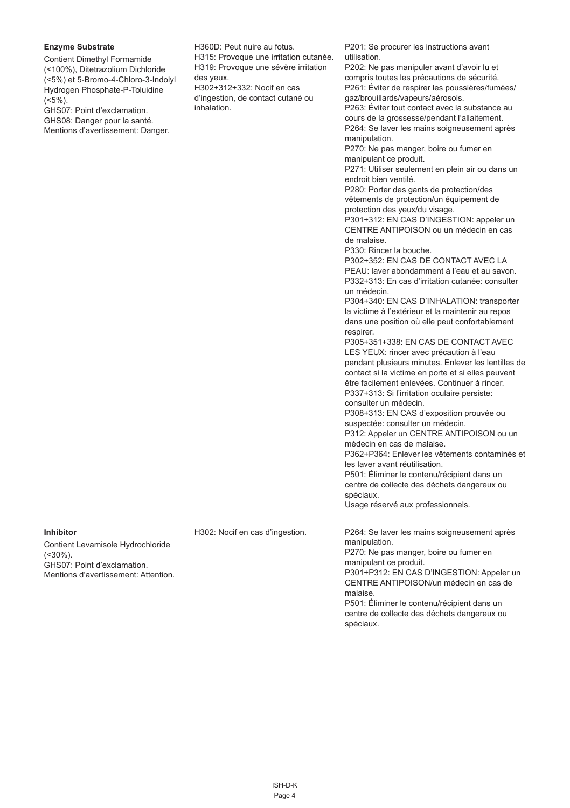Contient Dimethyl Formamide (<100%), Ditetrazolium Dichloride (<5%) et 5-Bromo-4-Chloro-3-Indolyl Hydrogen Phosphate-P-Toluidine  $(650/1)$ GHS07: Point d'exclamation.

GHS08: Danger pour la santé. Mentions d'avertissement: Danger. H360D: Peut nuire au fotus. H315: Provoque une irritation cutanée. H319: Provoque une sévère irritation des yeux. H302+312+332: Nocif en cas

d'ingestion, de contact cutané ou inhalation.

P201: Se procurer les instructions avant utilisation.

P202: Ne pas manipuler avant d'avoir lu et compris toutes les précautions de sécurité. P261: Éviter de respirer les poussières/fumées/ gaz/brouillards/vapeurs/aérosols.

P263: Éviter tout contact avec la substance au cours de la grossesse/pendant l'allaitement. P264: Se laver les mains soigneusement après manipulation.

P270: Ne pas manger, boire ou fumer en manipulant ce produit.

P271: Utiliser seulement en plein air ou dans un endroit bien ventilé.

P280: Porter des gants de protection/des vêtements de protection/un équipement de protection des yeux/du visage.

P301+312: EN CAS D'INGESTION: appeler un CENTRE ANTIPOISON ou un médecin en cas de malaise.

P330: Rincer la bouche.

P302+352: EN CAS DE CONTACT AVEC LA PEAU: laver abondamment à l'eau et au savon. P332+313: En cas d'irritation cutanée: consulter un médecin.

P304+340: EN CAS D'INHALATION: transporter la victime à l'extérieur et la maintenir au repos dans une position où elle peut confortablement respirer.

P305+351+338: EN CAS DE CONTACT AVEC LES YEUX: rincer avec précaution à l'eau pendant plusieurs minutes. Enlever les lentilles de contact si la victime en porte et si elles peuvent être facilement enlevées. Continuer à rincer. P337+313: Si l'irritation oculaire persiste: consulter un médecin.

P308+313: EN CAS d'exposition prouvée ou suspectée: consulter un médecin.

P312: Appeler un CENTRE ANTIPOISON ou un médecin en cas de malaise.

P362+P364: Enlever les vêtements contaminés et les laver avant réutilisation.

P501: Éliminer le contenu/récipient dans un centre de collecte des déchets dangereux ou spéciaux.

Usage réservé aux professionnels.

H302: Nocif en cas d'ingestion. P264: Se laver les mains soigneusement après manipulation.

P270: Ne pas manger, boire ou fumer en manipulant ce produit.

P301+P312: EN CAS D'INGESTION: Appeler un CENTRE ANTIPOISON/un médecin en cas de malaise.

P501: Éliminer le contenu/récipient dans un centre de collecte des déchets dangereux ou spéciaux.

#### **Inhibitor**

Contient Levamisole Hydrochloride  $(30\%)$ GHS07: Point d'exclamation. Mentions d'avertissement: Attention.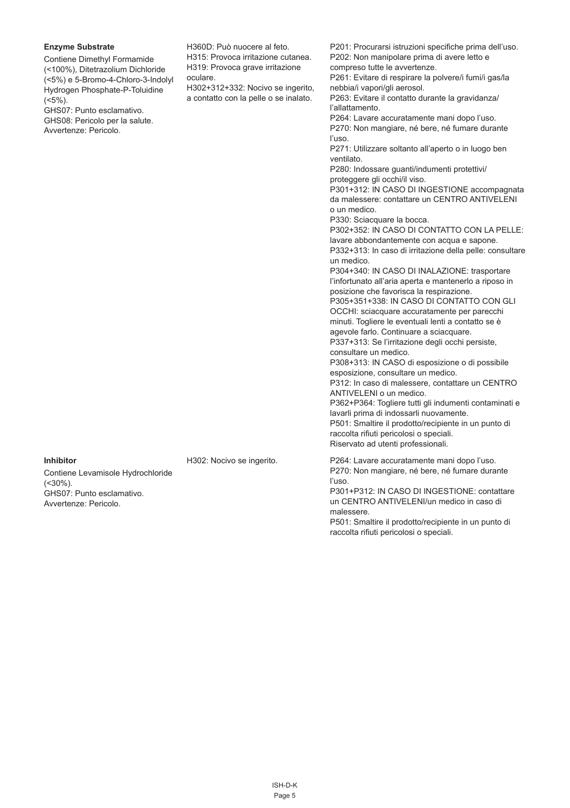Contiene Dimethyl Formamide (<100%), Ditetrazolium Dichloride (<5%) e 5-Bromo-4-Chloro-3-Indolyl Hydrogen Phosphate-P-Toluidine  $(650/1)$ GHS07: Punto esclamativo. GHS08: Pericolo per la salute. Avvertenze: Pericolo.

H360D: Può nuocere al feto. H315: Provoca irritazione cutanea. H319: Provoca grave irritazione oculare. H302+312+332: Nocivo se ingerito, a contatto con la pelle o se inalato.

P201: Procurarsi istruzioni specifiche prima dell'uso. P202: Non manipolare prima di avere letto e compreso tutte le avvertenze.

P261: Evitare di respirare la polvere/i fumi/i gas/la nebbia/i vapori/gli aerosol.

P263: Evitare il contatto durante la gravidanza/ l'allattamento.

P264: Lavare accuratamente mani dopo l'uso. P270: Non mangiare, né bere, né fumare durante l'uso.

P271: Utilizzare soltanto all'aperto o in luogo ben ventilato.

P280: Indossare guanti/indumenti protettivi/ proteggere gli occhi/il viso.

P301+312: IN CASO DI INGESTIONE accompagnata da malessere: contattare un CENTRO ANTIVELENI o un medico.

P330: Sciacquare la bocca.

P302+352: IN CASO DI CONTATTO CON LA PELLE: lavare abbondantemente con acqua e sapone. P332+313: In caso di irritazione della pelle: consultare un medico.

P304+340: IN CASO DI INALAZIONE: trasportare l'infortunato all'aria aperta e mantenerlo a riposo in posizione che favorisca la respirazione.

P305+351+338: IN CASO DI CONTATTO CON GLI OCCHI: sciacquare accuratamente per parecchi minuti. Togliere le eventuali lenti a contatto se è agevole farlo. Continuare a sciacquare.

P337+313: Se l'irritazione degli occhi persiste, consultare un medico.

P308+313: IN CASO di esposizione o di possibile esposizione, consultare un medico.

P312: In caso di malessere, contattare un CENTRO ANTIVELENI o un medico.

P362+P364: Togliere tutti gli indumenti contaminati e lavarli prima di indossarli nuovamente.

P501: Smaltire il prodotto/recipiente in un punto di raccolta rifiuti pericolosi o speciali. Riservato ad utenti professionali.

H302: Nocivo se ingerito. P264: Lavare accuratamente mani dopo l'uso. P270: Non mangiare, né bere, né fumare durante l'uso.

> P301+P312: IN CASO DI INGESTIONE: contattare un CENTRO ANTIVELENI/un medico in caso di malessere.

P501: Smaltire il prodotto/recipiente in un punto di raccolta rifiuti pericolosi o speciali.

#### **Inhibitor**

Contiene Levamisole Hydrochloride  $(30\%)$ GHS07: Punto esclamativo.

Avvertenze: Pericolo.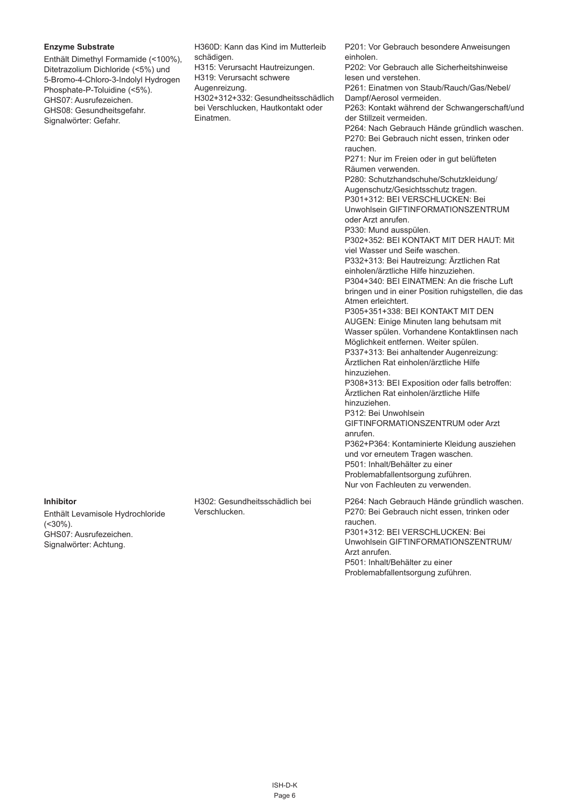Enthält Dimethyl Formamide (<100%), Ditetrazolium Dichloride (<5%) und 5-Bromo-4-Chloro-3-Indolyl Hydrogen Phosphate-P-Toluidine (<5%). GHS07: Ausrufezeichen. GHS08: Gesundheitsgefahr. Signalwörter: Gefahr.

H360D: Kann das Kind im Mutterleib schädigen. H315: Verursacht Hautreizungen. H319: Verursacht schwere Augenreizung. H302+312+332: Gesundheitsschädlich bei Verschlucken, Hautkontakt oder Einatmen.

P201: Vor Gebrauch besondere Anweisungen einholen.

P202: Vor Gebrauch alle Sicherheitshinweise lesen und verstehen.

P261: Einatmen von Staub/Rauch/Gas/Nebel/ Dampf/Aerosol vermeiden.

P263: Kontakt während der Schwangerschaft/und der Stillzeit vermeiden.

P264: Nach Gebrauch Hände gründlich waschen. P270: Bei Gebrauch nicht essen, trinken oder rauchen.

P271: Nur im Freien oder in gut belüfteten Räumen verwenden.

P280: Schutzhandschuhe/Schutzkleidung/ Augenschutz/Gesichtsschutz tragen. P301+312: BEI VERSCHLUCKEN: Bei Unwohlsein GIFTINFORMATIONSZENTRUM oder Arzt anrufen.

P330: Mund ausspülen.

P302+352: BEI KONTAKT MIT DER HAUT: Mit viel Wasser und Seife waschen.

P332+313: Bei Hautreizung: Ärztlichen Rat einholen/ärztliche Hilfe hinzuziehen.

P304+340: BEI EINATMEN: An die frische Luft bringen und in einer Position ruhigstellen, die das Atmen erleichtert.

P305+351+338: BEI KONTAKT MIT DEN AUGEN: Einige Minuten lang behutsam mit Wasser spülen. Vorhandene Kontaktlinsen nach Möglichkeit entfernen. Weiter spülen. P337+313: Bei anhaltender Augenreizung:

Ärztlichen Rat einholen/ärztliche Hilfe hinzuziehen. P308+313: BEI Exposition oder falls betroffen:

Ärztlichen Rat einholen/ärztliche Hilfe hinzuziehen.

P312: Bei Unwohlsein GIFTINFORMATIONSZENTRUM oder Arzt anrufen. P362+P364: Kontaminierte Kleidung ausziehen

und vor erneutem Tragen waschen. P501: Inhalt/Behälter zu einer Problemabfallentsorgung zuführen. Nur von Fachleuten zu verwenden.

P264: Nach Gebrauch Hände gründlich waschen. P270: Bei Gebrauch nicht essen, trinken oder rauchen. P301+312: BEI VERSCHLUCKEN: Bei Unwohlsein GIFTINFORMATIONSZENTRUM/ Arzt anrufen. P501: Inhalt/Behälter zu einer Problemabfallentsorgung zuführen.

# **Inhibitor**

Enthält Levamisole Hydrochloride (<30%). GHS07: Ausrufezeichen. Signalwörter: Achtung.

H302: Gesundheitsschädlich bei Verschlucken.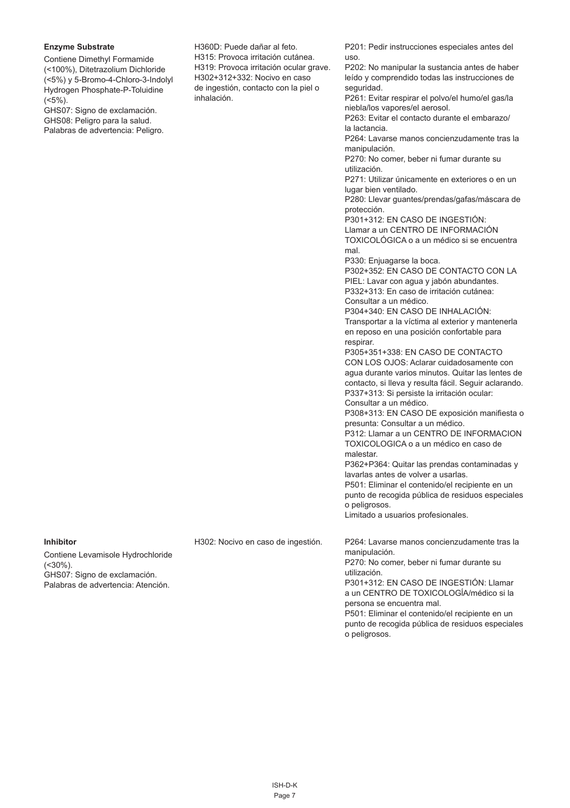Contiene Dimethyl Formamide (<100%), Ditetrazolium Dichloride  $(s5%)$  y 5-Bromo-4-Chloro-3-Indolyl Hydrogen Phosphate-P-Toluidine  $(650/1)$ 

GHS07: Signo de exclamación. GHS08: Peligro para la salud. Palabras de advertencia: Peligro. H360D: Puede dañar al feto. H315: Provoca irritación cutánea. H319: Provoca irritación ocular grave. H302+312+332: Nocivo en caso de ingestión, contacto con la piel o inhalación.

P201: Pedir instrucciones especiales antes del uso.

P202: No manipular la sustancia antes de haber leído y comprendido todas las instrucciones de seguridad.

P261: Evitar respirar el polvo/el humo/el gas/la niebla/los vapores/el aerosol.

P263: Evitar el contacto durante el embarazo/ la lactancia.

P264: Lavarse manos concienzudamente tras la manipulación.

P270: No comer, beber ni fumar durante su utilización.

P271: Utilizar únicamente en exteriores o en un lugar bien ventilado.

P280: Llevar guantes/prendas/gafas/máscara de protección.

P301+312: EN CASO DE INGESTIÓN:

Llamar a un CENTRO DE INFORMACIÓN TOXICOLÓGICA o a un médico si se encuentra mal.

P330: Enjuagarse la boca.

P302+352: EN CASO DE CONTACTO CON LA PIEL: Lavar con agua y jabón abundantes. P332+313: En caso de irritación cutánea: Consultar a un médico.

P304+340: EN CASO DE INHALACIÓN:

Transportar a la víctima al exterior y mantenerla en reposo en una posición confortable para respirar

P305+351+338: EN CASO DE CONTACTO CON LOS OJOS: Aclarar cuidadosamente con agua durante varios minutos. Quitar las lentes de contacto, si lleva y resulta fácil. Seguir aclarando. P337+313: Si persiste la irritación ocular: Consultar a un médico.

P308+313: EN CASO DE exposición manifiesta o presunta: Consultar a un médico.

P312: Llamar a un CENTRO DE INFORMACION TOXICOLOGICA o a un médico en caso de malestar.

P362+P364: Quitar las prendas contaminadas y lavarlas antes de volver a usarlas.

P501: Eliminar el contenido/el recipiente en un punto de recogida pública de residuos especiales o peligrosos.

Limitado a usuarios profesionales.

H302: Nocivo en caso de ingestión. P264: Lavarse manos concienzudamente tras la manipulación. P270: No comer, beber ni fumar durante su utilización. P301+312: EN CASO DE INGESTIÓN: Llamar a un CENTRO DE TOXICOLOGĺA/médico si la persona se encuentra mal. P501: Eliminar el contenido/el recipiente en un punto de recogida pública de residuos especiales o peligrosos.

#### **Inhibitor**

Contiene Levamisole Hydrochloride  $( < 30\%)$ GHS07: Signo de exclamación. Palabras de advertencia: Atención.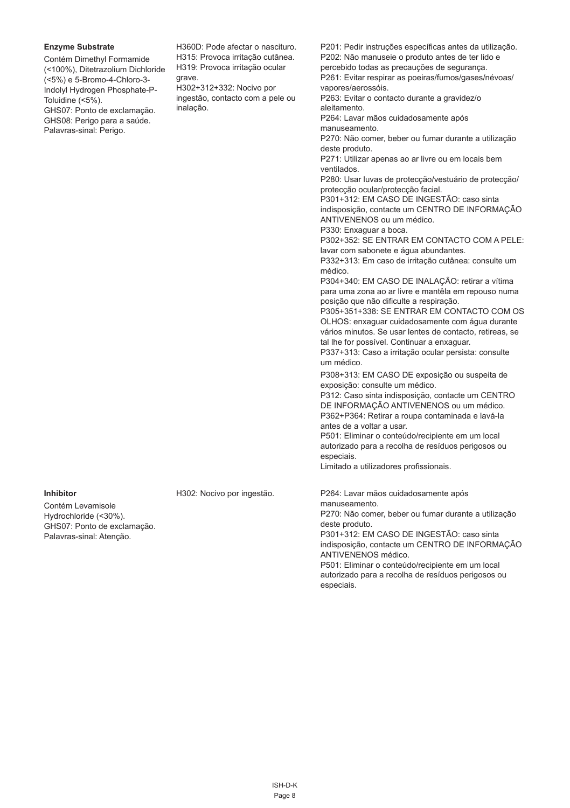Contém Dimethyl Formamide (<100%), Ditetrazolium Dichloride H319: Provoca irritação ocular (<5%) e 5-Bromo-4-Chloro-3- Indolyl Hydrogen Phosphate-P-Toluidine (<5%). GHS07: Ponto de exclamação. GHS08: Perigo para a saúde. Palavras-sinal: Perigo.

H360D: Pode afectar o nascituro. H315: Provoca irritação cutânea. grave. H302+312+332: Nocivo por ingestão, contacto com a pele ou inalação.

P201: Pedir instruções específicas antes da utilização. P202: Não manuseie o produto antes de ter lido e percebido todas as precauções de segurança.

P261: Evitar respirar as poeiras/fumos/gases/névoas/ vapores/aerossóis.

P263: Evitar o contacto durante a gravidez/o aleitamento.

P264: Lavar mãos cuidadosamente após manuseamento.

P270: Não comer, beber ou fumar durante a utilização deste produto.

P271: Utilizar apenas ao ar livre ou em locais bem ventilados.

P280: Usar luvas de protecção/vestuário de protecção/ protecção ocular/protecção facial.

P301+312: EM CASO DE INGESTÃO: caso sinta indisposição, contacte um CENTRO DE INFORMAÇÃO ANTIVENENOS ou um médico.

P330: Enxaguar a boca.

P302+352: SE ENTRAR EM CONTACTO COM A PELE: lavar com sabonete e água abundantes. P332+313: Em caso de irritação cutânea: consulte um

médico.

P304+340: EM CASO DE INALAÇÃO: retirar a vítima para uma zona ao ar livre e mantêla em repouso numa posição que não dificulte a respiração.

P305+351+338: SE ENTRAR EM CONTACTO COM OS OLHOS: enxaguar cuidadosamente com água durante vários minutos. Se usar lentes de contacto, retireas, se tal lhe for possível. Continuar a enxaguar.

P337+313: Caso a irritação ocular persista: consulte um médico.

P308+313: EM CASO DE exposição ou suspeita de exposição: consulte um médico.

P312: Caso sinta indisposição, contacte um CENTRO DE INFORMAÇÃO ANTIVENENOS ou um médico. P362+P364: Retirar a roupa contaminada e lavá-la antes de a voltar a usar.

P501: Eliminar o conteúdo/recipiente em um local autorizado para a recolha de resíduos perigosos ou especiais.

Limitado a utilizadores profissionais.

**Inhibitor**

Contém Levamisole Hydrochloride (<30%). GHS07: Ponto de exclamação. Palavras-sinal: Atenção.

H302: Nocivo por ingestão. P264: Lavar mãos cuidadosamente após manuseamento.

> P270: Não comer, beber ou fumar durante a utilização deste produto.

P301+312: EM CASO DE INGESTÃO: caso sinta indisposição, contacte um CENTRO DE INFORMAÇÃO ANTIVENENOS médico.

P501: Eliminar o conteúdo/recipiente em um local autorizado para a recolha de resíduos perigosos ou especiais.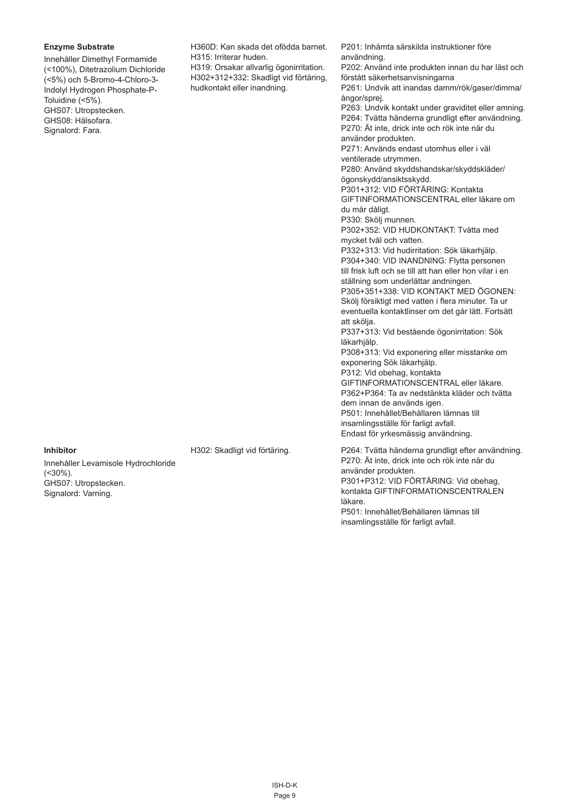Innehåller Dimethyl Formamide (<100%), Ditetrazolium Dichloride (<5%) och 5-Bromo-4-Chloro-3- Indolyl Hydrogen Phosphate-P-Toluidine (<5%). GHS07: Utropstecken. GHS08: Hälsofara. Signalord: Fara.

H360D: Kan skada det ofödda barnet. H315: Irriterar huden. H319: Orsakar allvarlig ögonirritation. H302+312+332: Skadligt vid förtäring, hudkontakt eller inandning.

P201: Inhämta särskilda instruktioner före användning.

P202: Använd inte produkten innan du har läst och förstått säkerhetsanvisningarna

P261: Undvik att inandas damm/rök/gaser/dimma/ ångor/sprej.

P263: Undvik kontakt under graviditet eller amning. P264: Tvätta händerna grundligt efter användning. P270: Ät inte, drick inte och rök inte när du använder produkten.

P271: Används endast utomhus eller i väl ventilerade utrymmen.

P280: Använd skyddshandskar/skyddskläder/ ögonskydd/ansiktsskydd.

P301+312: VID FÖRTÄRING: Kontakta GIFTINFORMATIONSCENTRAL eller läkare om

du mår dåligt. P330: Skölj munnen.

P302+352: VID HUDKONTAKT: Tvätta med mycket tvål och vatten.

P332+313: Vid hudirritation: Sök läkarhjälp. P304+340: VID INANDNING: Flytta personen till frisk luft och se till att han eller hon vilar i en ställning som underlättar andningen.

P305+351+338: VID KONTAKT MED ÖGONEN: Skölj försiktigt med vatten i flera minuter. Ta ur eventuella kontaktlinser om det går lätt. Fortsätt att skölja.

P337+313: Vid bestående ögonirritation: Sök läkarhjälp.

P308+313: Vid exponering eller misstanke om exponering Sök läkarhjälp.

P312: Vid obehag, kontakta GIFTINFORMATIONSCENTRAL eller läkare. P362+P364: Ta av nedstänkta kläder och tvätta dem innan de används igen.

P501: Innehållet/Behållaren lämnas till insamlingsställe för farligt avfall. Endast för yrkesmässig användning.

H302: Skadligt vid förtäring. P264: Tvätta händerna grundligt efter användning. P270: Ät inte, drick inte och rök inte när du använder produkten. P301+P312: VID FÖRTÄRING: Vid obehag, kontakta GIFTINFORMATIONSCENTRALEN läkare. P501: Innehållet/Behållaren lämnas till insamlingsställe för farligt avfall.

# **Inhibitor**

Innehåller Levamisole Hydrochloride (<30%). GHS07: Utropstecken. Signalord: Varning.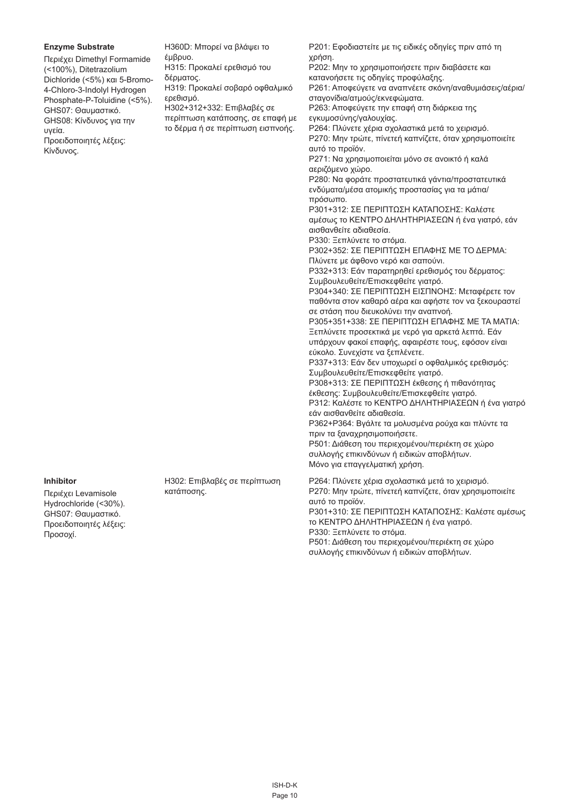Περιέχει Dimethyl Formamide (<100%), Ditetrazolium Dichloride (<5%) και 5-Bromo-4-Chloro-3-Indolyl Hydrogen Phosphate-P-Toluidine (<5%). GHS07: Θαυμαστικό. GHS08: Κίνδυνος για την υγεία. Προειδοποιητές λέξεις: Κίνδυνος.

H360D: Μπορεί να βλάψει το έμβρυο. H315: Προκαλεί ερεθισμό του δέρματος. H319: Προκαλεί σοβαρό οφθαλμικό ερεθισμό. H302+312+332: Επιβλαβές σε περίπτωση κατάποσης, σε επαφή με το δέρμα ή σε περίπτωση εισπνοής.

P201: Εφοδιαστείτε με τις ειδικές οδηγίες πριν από τη χρήση.

P202: Μην το χρησιμοποιήσετε πριν διαβάσετε και κατανοήσετε τις οδηγίες προφύλαξης.

P261: Αποφεύγετε να αναπνέετε σκόνη/αναθυμιάσεις/αέρια/ σταγονίδια/ατμούς/εκνεφώματα.

P263: Αποφεύγετε την επαφή στη διάρκεια της εγκυμοσύνης/γαλουχίας.

P264: Πλύνετε χέρια σχολαστικά μετά το χειρισμό. P270: Μην τρώτε, πίνετεή καπνίζετε, όταν χρησιμοποιείτε αυτό το προϊόν.

P271: Να χρησιμοποιείται μόνο σε ανοικτό ή καλά αεριζόμενο χώρο.

P280: Να φοράτε προστατευτικά γάντια/προστατευτικά ενδύματα/μέσα ατομικής προστασίας για τα μάτια/ πρόσωπο.

P301+312: ΣΕ ΠΕΡΙΠΤΩΣΗ ΚΑΤΑΠΟΣΗΣ: Καλέστε αμέσως το ΚΕΝΤΡΟ ΔΗΛΗΤΗΡΙΑΣΕΩΝ ή ένα γιατρό, εάν αισθανθείτε αδιαθεσία.

P330: Ξεπλύνετε το στόμα.

P302+352: ΣΕ ΠΕΡΙΠΤΩΣΗ ΕΠΑΦΗΣ ΜΕ ΤΟ ΔΕΡΜΑ:

Πλύνετε με άφθονο νερό και σαπούνι.

P332+313: Εάν παρατηρηθεί ερεθισμός του δέρματος: Συμβουλευθείτε/Επισκεφθείτε γιατρό.

P304+340: ΣΕ ΠΕΡΙΠΤΩΣΗ ΕΙΣΠΝΟΗΣ: Μεταφέρετε τον παθόντα στον καθαρό αέρα και αφήστε τον να ξεκουραστεί σε στάση που διευκολύνει την αναπνοή.

P305+351+338: ΣΕ ΠΕΡΙΠΤΩΣΗ ΕΠΑΦΗΣ ΜΕ ΤΑ ΜΑΤΙΑ: Ξεπλύνετε προσεκτικά με νερό για αρκετά λεπτά. Εάν υπάρχουν φακοί επαφής, αφαιρέστε τους, εφόσον είναι εύκολο. Συνεχίστε να ξεπλένετε.

P337+313: Εάν δεν υποχωρεί ο οφθαλμικός ερεθισμός: Συμβουλευθείτε/Επισκεφθείτε γιατρό.

P308+313: ΣΕ ΠΕΡΙΠΤΩΣΗ έκθεσης ή πιθανότητας έκθεσης: Συμβουλευθείτε/Επισκεφθείτε γιατρό. P312: Καλέστε το ΚΕΝΤΡΟ ΔΗΛΗΤΗΡΙΑΣΕΩΝ ή ένα γιατρό εάν αισθανθείτε αδιαθεσία.

P362+P364: Βγάλτε τα μολυσμένα ρούχα και πλύντε τα πριν τα ξαναχρησιμοποιήσετε.

P501: Διάθεση του περιεχομένου/περιέκτη σε χώρο συλλογής επικινδύνων ή ειδικών αποβλήτων. Μόνο για επαγγελματική χρήση.

P264: Πλύνετε χέρια σχολαστικά μετά το χειρισμό. P270: Μην τρώτε, πίνετεή καπνίζετε, όταν χρησιμοποιείτε αυτό το προϊόν. P301+310: ΣΕ ΠΕΡΙΠΤΩΣΗ ΚΑΤΑΠΟΣΗΣ: Καλέστε αμέσως το ΚΕΝΤΡΟ ΔΗΛΗΤΗΡΙΑΣΕΩΝ ή ένα γιατρό. P330: Ξεπλύνετε το στόμα. P501: Διάθεση του περιεχομένου/περιέκτη σε χώρο συλλογής επικινδύνων ή ειδικών αποβλήτων.

## **Inhibitor**

Περιέχει Levamisole Hydrochloride (<30%). GHS07: Θαυμαστικό. Προειδοποιητές λέξεις: Προσοχί.

H302: Επιβλαβές σε περίπτωση κατάποσης.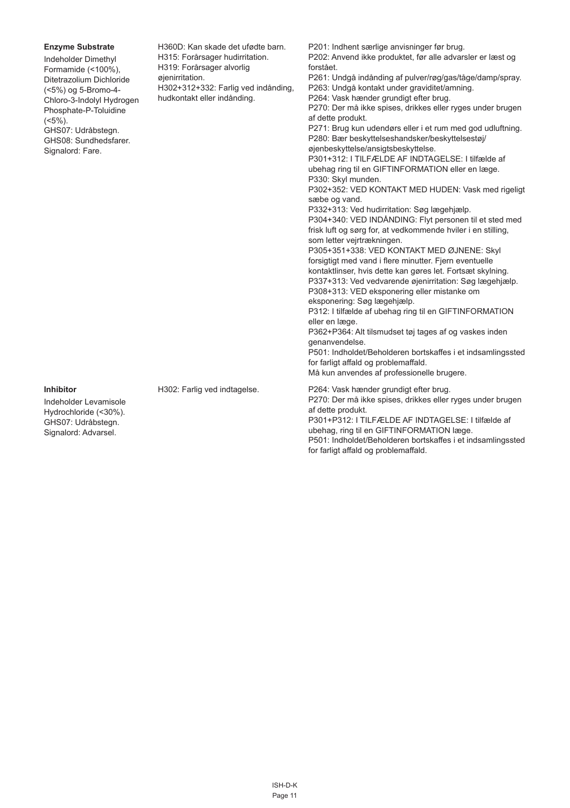Indeholder Dimethyl Formamide (<100%), Ditetrazolium Dichloride (<5%) og 5-Bromo-4- Chloro-3-Indolyl Hydrogen Phosphate-P-Toluidine  $(<5\%)$ . GHS07: Udråbstegn. GHS08: Sundhedsfarer. Signalord: Fare.

H360D: Kan skade det ufødte barn. H315: Forårsager hudirritation. H319: Forårsager alvorlig øjenirritation. H302+312+332: Farlig ved indånding, hudkontakt eller indånding.

P201: Indhent særlige anvisninger før brug. P202: Anvend ikke produktet, før alle advarsler er læst og forstået.

P261: Undgå indånding af pulver/røg/gas/tåge/damp/spray.

P263: Undgå kontakt under graviditet/amning.

P264: Vask hænder grundigt efter brug.

P270: Der må ikke spises, drikkes eller ryges under brugen af dette produkt.

P271: Brug kun udendørs eller i et rum med god udluftning. P280: Bær beskyttelseshandsker/beskyttelsestøj/ øjenbeskyttelse/ansigtsbeskyttelse.

P301+312: I TILFÆLDE AF INDTAGELSE: I tilfælde af ubehag ring til en GIFTINFORMATION eller en læge. P330: Skyl munden.

P302+352: VED KONTAKT MED HUDEN: Vask med rigeligt sæbe og vand.

P332+313: Ved hudirritation: Søg lægehjælp. P304+340: VED INDÅNDING: Flyt personen til et sted med frisk luft og sørg for, at vedkommende hviler i en stilling, som letter vejrtrækningen.

P305+351+338: VED KONTAKT MED ØJNENE: Skyl forsigtigt med vand i flere minutter. Fjern eventuelle kontaktlinser, hvis dette kan gøres let. Fortsæt skylning. P337+313: Ved vedvarende øjenirritation: Søg lægehjælp. P308+313: VED eksponering eller mistanke om eksponering: Søg lægehjælp.

P312: I tilfælde af ubehag ring til en GIFTINFORMATION eller en læge.

P362+P364: Alt tilsmudset tøj tages af og vaskes inden genanvendelse.

P501: Indholdet/Beholderen bortskaffes i et indsamlingssted for farligt affald og problemaffald. Må kun anvendes af professionelle brugere.

H302: Farlig ved indtagelse. P264: Vask hænder grundigt efter brug. P270: Der må ikke spises, drikkes eller ryges under brugen af dette produkt. P301+P312: I TILFÆLDE AF INDTAGELSE: I tilfælde af ubehag, ring til en GIFTINFORMATION læge. P501: Indholdet/Beholderen bortskaffes i et indsamlingssted for farligt affald og problemaffald.

**Inhibitor**

Indeholder Levamisole Hydrochloride (<30%). GHS07: Udråbstegn. Signalord: Advarsel.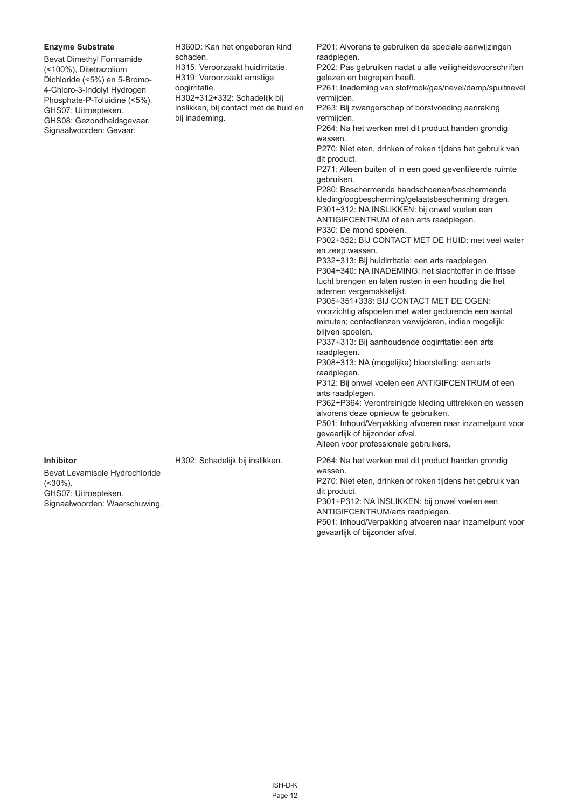Bevat Dimethyl Formamide (<100%), Ditetrazolium Dichloride (<5%) en 5-Bromo-4-Chloro-3-Indolyl Hydrogen Phosphate-P-Toluidine (<5%). GHS07: Uitroepteken GHS08: Gezondheidsgevaar. Signaalwoorden: Gevaar.

H360D: Kan het ongeboren kind schaden. H315: Veroorzaakt huidirritatie. H319: Veroorzaakt ernstige oogirritatie. H302+312+332: Schadelijk bij inslikken, bij contact met de huid en bij inademing.

P201: Alvorens te gebruiken de speciale aanwijzingen raadplegen.

P202: Pas gebruiken nadat u alle veiligheidsvoorschriften gelezen en begrepen heeft.

P261: Inademing van stof/rook/gas/nevel/damp/spuitnevel vermijden.

P263: Bij zwangerschap of borstvoeding aanraking vermijden.

P264: Na het werken met dit product handen grondig wassen.

P270: Niet eten, drinken of roken tijdens het gebruik van dit product.

P271: Alleen buiten of in een goed geventileerde ruimte gebruiken.

P280: Beschermende handschoenen/beschermende kleding/oogbescherming/gelaatsbescherming dragen. P301+312: NA INSLIKKEN: bij onwel voelen een ANTIGIFCENTRUM of een arts raadplegen. P330: De mond spoelen.

P302+352: BIJ CONTACT MET DE HUID: met veel water en zeep wassen.

P332+313: Bij huidirritatie: een arts raadplegen. P304+340: NA INADEMING: het slachtoffer in de frisse lucht brengen en laten rusten in een houding die het ademen vergemakkelijkt.

P305+351+338: BIJ CONTACT MET DE OGEN: voorzichtig afspoelen met water gedurende een aantal minuten; contactlenzen verwijderen, indien mogelijk; blijven spoelen.

P337+313: Bij aanhoudende oogirritatie: een arts raadplegen.

P308+313: NA (mogelijke) blootstelling: een arts raadplegen.

P312: Bij onwel voelen een ANTIGIFCENTRUM of een arts raadplegen.

P362+P364: Verontreinigde kleding uittrekken en wassen alvorens deze opnieuw te gebruiken.

P501: Inhoud/Verpakking afvoeren naar inzamelpunt voor gevaarlijk of bijzonder afval.

Alleen voor professionele gebruikers.

H302: Schadelijk bij inslikken. P264: Na het werken met dit product handen grondig wassen.

> P270: Niet eten, drinken of roken tijdens het gebruik van dit product.

P301+P312: NA INSLIKKEN: bij onwel voelen een ANTIGIFCENTRUM/arts raadplegen.

P501: Inhoud/Verpakking afvoeren naar inzamelpunt voor

gevaarlijk of bijzonder afval.

#### **Inhibitor**

Bevat Levamisole Hydrochloride (<30%). GHS07: Uitroepteken. Signaalwoorden: Waarschuwing.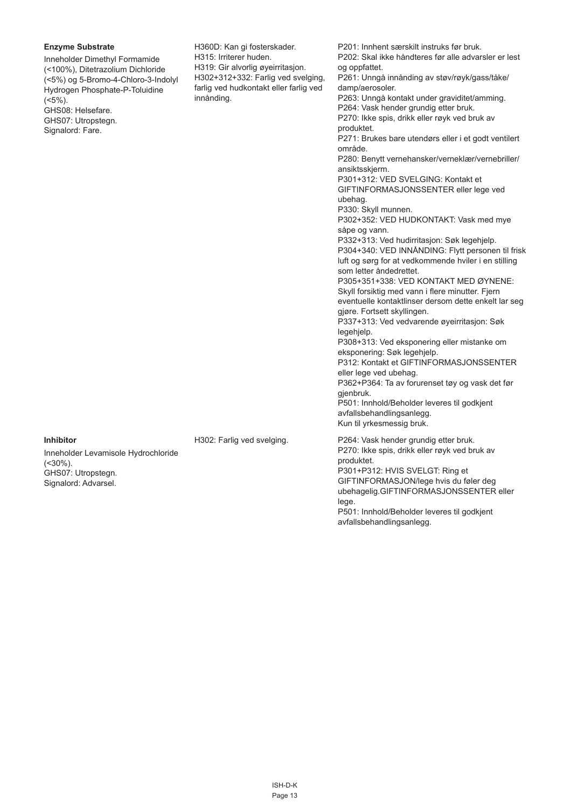Inneholder Dimethyl Formamide (<100%), Ditetrazolium Dichloride (<5%) og 5-Bromo-4-Chloro-3-Indolyl Hydrogen Phosphate-P-Toluidine  $(s5\%)$ GHS08: Helsefare. GHS07: Utropstegn. Signalord: Fare.

H360D: Kan gi fosterskader. H315: Irriterer huden. H319: Gir alvorlig øyeirritasjon. H302+312+332: Farlig ved svelging, farlig ved hudkontakt eller farlig ved innånding.

P201: Innhent særskilt instruks før bruk.

P202: Skal ikke håndteres før alle advarsler er lest og oppfattet.

P261: Unngå innånding av støv/røyk/gass/tåke/ damp/aerosoler.

P263: Unngå kontakt under graviditet/amming. P264: Vask hender grundig etter bruk.

P270: Ikke spis, drikk eller røyk ved bruk av produktet.

P271: Brukes bare utendørs eller i et godt ventilert område.

P280: Benytt vernehansker/verneklær/vernebriller/ ansiktsskjerm.

P301+312: VED SVELGING: Kontakt et GIFTINFORMASJONSSENTER eller lege ved ubehag.

P330: Skyll munnen.

P302+352: VED HUDKONTAKT: Vask med mye såpe og vann.

P332+313: Ved hudirritasjon: Søk legehjelp. P304+340: VED INNÅNDING: Flytt personen til frisk luft og sørg for at vedkommende hviler i en stilling som letter åndedrettet.

P305+351+338: VED KONTAKT MED ØYNENE: Skyll forsiktig med vann i flere minutter. Fiern eventuelle kontaktlinser dersom dette enkelt lar seg gjøre. Fortsett skyllingen.

P337+313: Ved vedvarende øyeirritasjon: Søk legehjelp.

P308+313: Ved eksponering eller mistanke om eksponering: Søk legehjelp.

P312: Kontakt et GIFTINFORMASJONSSENTER eller lege ved ubehag.

P362+P364: Ta av forurenset tøy og vask det før gjenbruk.

P501: Innhold/Beholder leveres til godkjent avfallsbehandlingsanlegg. Kun til yrkesmessig bruk.

H302: Farlig ved svelging. P264: Vask hender grundig etter bruk. P270: Ikke spis, drikk eller røyk ved bruk av produktet. P301+P312: HVIS SVELGT: Ring et GIFTINFORMASJON/lege hvis du føler deg ubehagelig.GIFTINFORMASJONSSENTER eller lege. P501: Innhold/Beholder leveres til godkjent avfallsbehandlingsanlegg.

# **Inhibitor**

Inneholder Levamisole Hydrochloride (<30%). GHS07: Utropstegn. Signalord: Advarsel.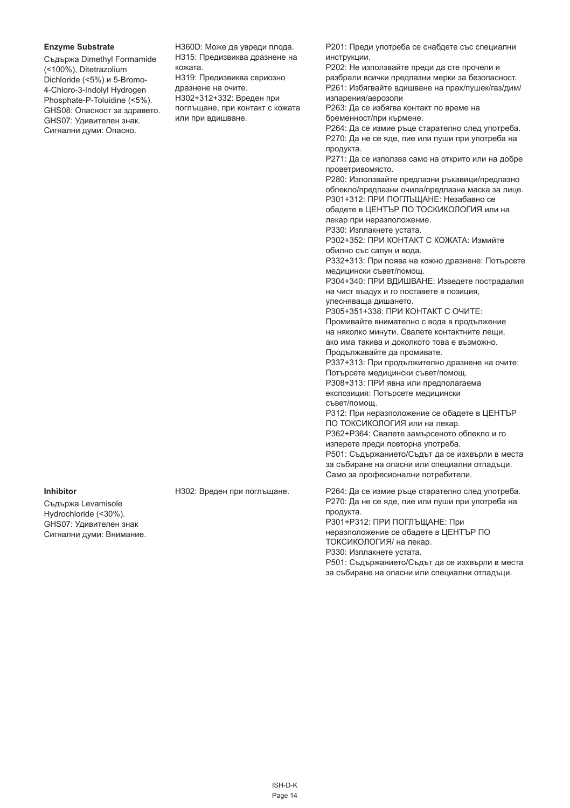Съдържа Dimethyl Formamide (<100%), Ditetrazolium Dichloride (<5%) и 5-Bromo-4-Chloro-3-Indolyl Hydrogen Phosphate-P-Toluidine (<5%). GHS08: Опасност за здравето. GHS07: Удивителен знак. Сигнални думи: Опасно.

H360D: Може да увреди плода. H315: Предизвиква дразнене на кожата. H319: Предизвиква сериозно дразнене на очите. H302+312+332: Вреден при поглъщане, при контакт с кожата или при вдишване.

P201: Преди употреба се снабдете със специални инструкции.

P202: Не използвайте преди да сте прочели и разбрали всички предпазни мерки за безопасност. P261: Избягвайте вдишване на прах/пушек/газ/дим/ изпарения/аерозоли

P263: Да се избягва контакт по време на бременност/при кърмене.

P264: Да се измие ръце старателно след употреба. P270: Да не се яде, пие или пуши при употреба на продукта.

P271: Да се използва само на открито или на добре проветривомясто.

P280: Използвайте предпазни ръкавици/предпазно облекло/предпазни очила/предпазна маска за лице. P301+312: ПРИ ПОГЛЪЩАНЕ: Незабавно се

обадете в ЦЕНТЪР ПО ТОСКИКОЛОГИЯ или на лекар при неразположение.

P330: Изплакнете устата.

P302+352: ПРИ КОНТАКТ С КОЖАТА: Измийте обилно със сапун и вода.

P332+313: При поява на кожно дразнене: Потърсете медицински съвет/помощ.

P304+340: ПРИ ВДИШВАНЕ: Изведете пострадалия на чист въздух и го поставете в позиция,

улесняваща дишането.

P305+351+338: ПРИ КОНТАКТ С ОЧИТЕ: Промивайте внимателно с вода в продължение на няколко минути. Свалете контактните лещи, ако има такива и доколкото това е възможно.

Продължавайте да промивате. P337+313: При продължително дразнене на очите: Потърсете медицински съвет/помощ. P308+313: ПРИ явна или предполагаема

експозиция: Потърсете медицински съвет/помощ.

P312: При неразположение се обадете в ЦЕНТЪР ПО ТОКСИКОЛОГИЯ или на лекар.

P362+P364: Свалете замърсеното облекло и го изперете преди повторна употреба. P501: Съдържанието/Съдът да се изхвърли в места за събиране на опасни или специални отпадъци.

Само за професионални потребители.

Н302: Вреден при поглъщане. Р264: Да се измие ръце старателно след употреба. P270: Да не се яде, пие или пуши при употреба на продукта. P301+P312: ПРИ ПОГЛЪЩАНЕ: При неразположение се обадете в ЦЕНТЪР ПО ТОКСИКОЛОГИЯ/ на лекар. P330: Изплакнете устата.

P501: Съдържанието/Съдът да се изхвърли в места за събиране на опасни или специални отпадъци.

#### **Inhibitor**

Съдържа Levamisole Hydrochloride (<30%). GHS07: Удивителен знак Сигнални думи: Внимание.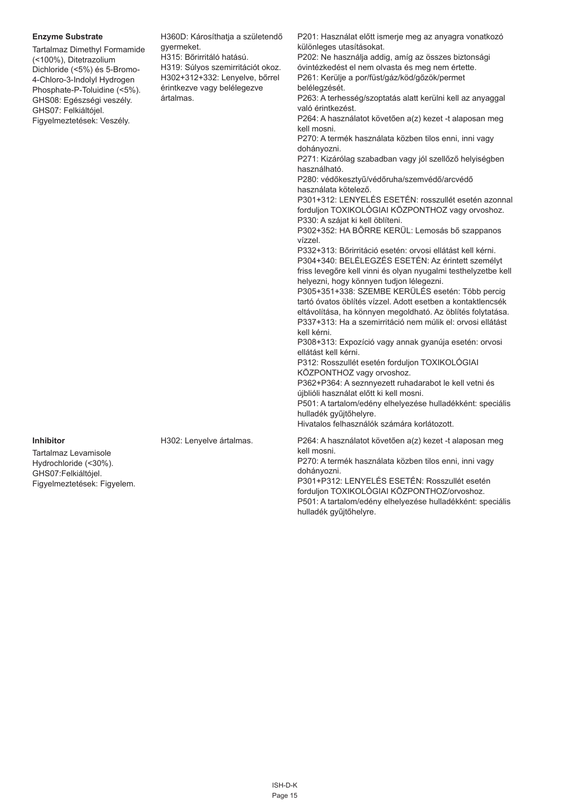Tartalmaz Dimethyl Formamide (<100%), Ditetrazolium Dichloride (<5%) és 5-Bromo-4-Chloro-3-Indolyl Hydrogen Phosphate-P-Toluidine (<5%). GHS08: Egészségi veszély. GHS07: Felkiáltójel. Figyelmeztetések: Veszély.

H360D: Károsíthatja a születendő gyermeket. H315: Bőrirritáló hatású. H319: Súlyos szemirritációt okoz. H302+312+332: Lenyelve, bőrrel érintkezve vagy belélegezve ártalmas.

P201: Használat előtt ismerje meg az anyagra vonatkozó különleges utasításokat.

P202: Ne használja addig, amíg az összes biztonsági óvintézkedést el nem olvasta és meg nem értette. P261: Kerülje a por/füst/gáz/köd/gőzök/permet belélegzését.

P263: A terhesség/szoptatás alatt kerülni kell az anyaggal való érintkezést.

P264: A használatot követően a(z) kezet -t alaposan meg kell mosni.

P270: A termék használata közben tilos enni, inni vagy dohányozni.

P271: Kizárólag szabadban vagy jól szellőző helyiségben használható.

P280: védőkesztyű/védőruha/szemvédő/arcvédő használata kötelező.

P301+312: LENYELÉS ESETÉN: rosszullét esetén azonnal forduljon TOXIKOLÓGIAI KÖZPONTHOZ vagy orvoshoz. P330: A szájat ki kell öblíteni.

P302+352: HA BŐRRE KERÜL: Lemosás bő szappanos vízzel.

P332+313: Bőrirritáció esetén: orvosi ellátást kell kérni. P304+340: BELÉLEGZÉS ESETÉN: Az érintett személyt friss levegőre kell vinni és olyan nyugalmi testhelyzetbe kell helyezni, hogy könnyen tudjon lélegezni.

P305+351+338: SZEMBE KERÜLÉS esetén: Több percig tartó óvatos öblítés vízzel. Adott esetben a kontaktlencsék eltávolítása, ha könnyen megoldható. Az öblítés folytatása. P337+313: Ha a szemirritáció nem múlik el: orvosi ellátást kell kérni.

P308+313: Expozíció vagy annak gyanúja esetén: orvosi ellátást kell kérni.

P312: Rosszullét esetén fordulion TOXIKOLÓGIAI KÖZPONTHOZ vagy orvoshoz.

P362+P364: A seznnyezett ruhadarabot le kell vetni és újblióli használat előtt ki kell mosni.

P501: A tartalom/edény elhelyezése hulladékként: speciális hulladék gyűjtőhelyre.

Hivatalos felhasználók számára korlátozott.

H302: Lenyelve ártalmas. P264: A használatot követően a(z) kezet -t alaposan meg kell mosni.

> P270: A termék használata közben tilos enni, inni vagy dohányozni.

P301+P312: LENYELÉS ESETÉN: Rosszullét esetén forduljon TOXIKOLÓGIAI KÖZPONTHOZ/orvoshoz. P501: A tartalom/edény elhelyezése hulladékként: speciális hulladék gyűjtőhelyre.

# **Inhibitor**

Tartalmaz Levamisole Hydrochloride (<30%). GHS07:Felkiáltójel. Figyelmeztetések: Figyelem.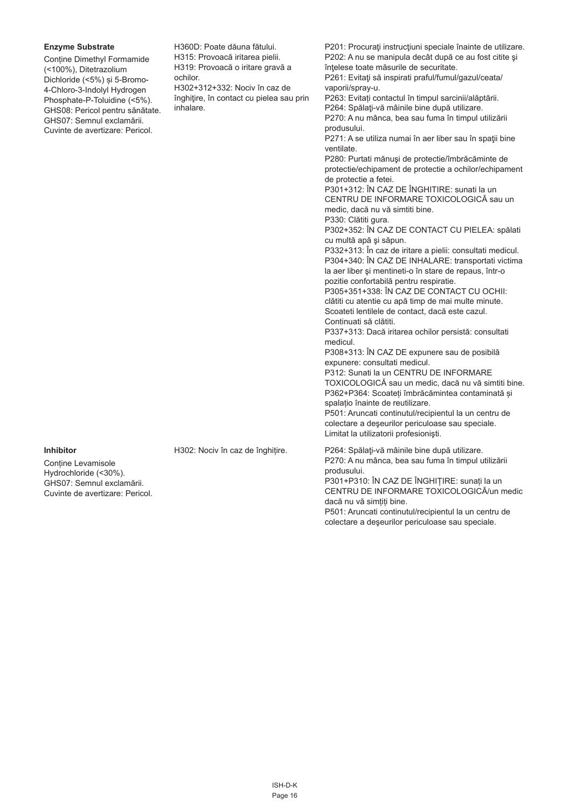Conține Dimethyl Formamide (<100%), Ditetrazolium Dichloride (<5%) și 5-Bromo-4-Chloro-3-Indolyl Hydrogen Phosphate-P-Toluidine (<5%). GHS08: Pericol pentru sănătate. GHS07: Semnul exclamării. Cuvinte de avertizare: Pericol.

H360D: Poate dăuna fătului. H315: Provoacă iritarea pielii. H319: Provoacă o iritare gravă a ochilor. H302+312+332: Nociv în caz de înghițire, în contact cu pielea sau prin inhalare.

P201: Procurați instrucțiuni speciale înainte de utilizare. P202: A nu se manipula decât după ce au fost citite şi înțelese toate măsurile de securitate.

P261: Evitați să inspirati praful/fumul/gazul/ceata/ vaporii/spray-u.

P263: Evitați contactul în timpul sarcinii/alăptării. P264: Spălați-vă mâinile bine după utilizare. P270: A nu mânca, bea sau fuma în timpul utilizării produsului.

P271: A se utiliza numai în aer liber sau în spaţii bine ventilate.

P280: Purtati mănuşi de protectie/îmbrăcăminte de protectie/echipament de protectie a ochilor/echipament de protectie a fetei.

P301+312: ÎN CAZ DE ÎNGHITIRE: sunati la un CENTRU DE INFORMARE TOXICOLOGICĂ sau un medic, dacă nu vă simtiti bine.

P330: Clătiti gura.

P302+352: ÎN CAZ DE CONTACT CU PIELEA: spălati cu multă apă şi săpun.

P332+313: În caz de iritare a pielii: consultati medicul. P304+340: ÎN CAZ DE INHALARE: transportati victima la aer liber şi mentineti-o în stare de repaus, într-o pozitie confortabilă pentru respiratie.

P305+351+338: ÎN CAZ DE CONTACT CU OCHII: clătiti cu atentie cu apă timp de mai multe minute. Scoateti lentilele de contact, dacă este cazul. Continuati să clătiti.

P337+313: Dacă iritarea ochilor persistă: consultati medicul.

P308+313: ÎN CAZ DE expunere sau de posibilă expunere: consultati medicul.

P312: Sunati la un CENTRU DE INFORMARE TOXICOLOGICĂ sau un medic, dacă nu vă simtiti bine. P362+P364: Scoateți îmbrăcămintea contaminată și spalațio înainte de reutilizare.

P501: Aruncati continutul/recipientul la un centru de colectare a deşeurilor periculoase sau speciale. Limitat la utilizatorii profesionişti.

H302: Nociv în caz de înghițire. P264: Spălați-vă mâinile bine după utilizare. P270: A nu mânca, bea sau fuma în timpul utilizării produsului.

> P301+P310: ÎN CAZ DE ÎNGHIȚIRE: sunați la un CENTRU DE INFORMARE TOXICOLOGICĂ/un medic dacă nu vă simțiți bine.

P501: Aruncati continutul/recipientul la un centru de colectare a deşeurilor periculoase sau speciale.

# **Inhibitor**

Conține Levamisole Hydrochloride (<30%). GHS07: Semnul exclamării. Cuvinte de avertizare: Pericol.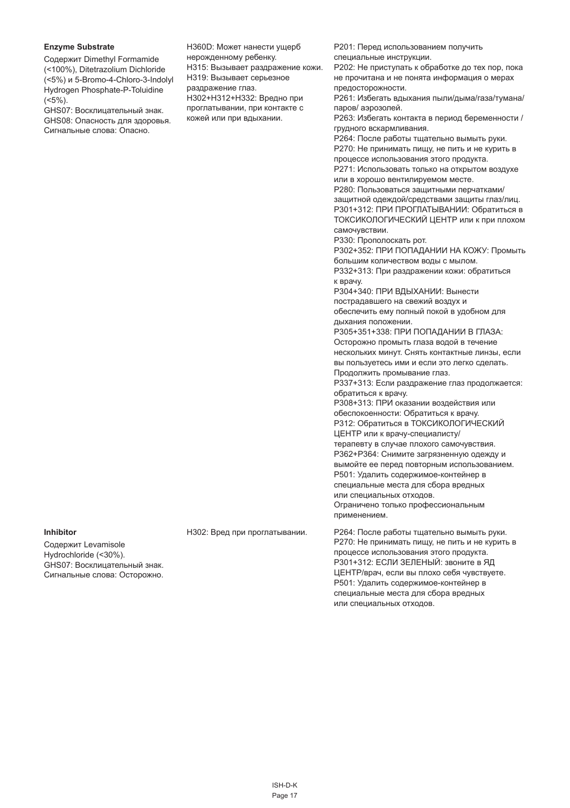Содержит Dimethyl Formamide (<100%), Ditetrazolium Dichloride (<5%) и 5-Bromo-4-Chloro-3-Indolyl Hydrogen Phosphate-P-Toluidine  $(650/1)$ 

GHS07: Восклицательный знак. GHS08: Опасность для здоровья. Сигнальные слова: Опасно.

H360D: Может нанести ущерб нерожденному ребенку. H315: Вызывает раздражение кожи. H319: Вызывает серьезное раздражение глаз. H302+H312+H332: Вредно при проглатывании, при контакте с кожей или при вдыхании.

P201: Перед использованием получить специальные инструкции.

P202: Не приступать к обработке до тех пор, пока не прочитана и не понята информация о мерах предосторожности.

P261: Избегать вдыхания пыли/дыма/газа/тумана/ паров/ аэрозолей.

P263: Избегать контакта в период беременности / грудного вскармливания.

P264: После работы тщательно вымыть руки. P270: Не принимать пищу, не пить и не курить в процессе использования этого продукта.

P271: Использовать только на открытом воздухе или в хорошо вентилируемом месте.

P280: Пользоваться защитными перчатками/ защитной одеждой/средствами защиты глаз/лиц. P301+312: ПРИ ПРОГЛАТЫВАНИИ: Обратиться в ТОКСИКОЛОГИЧЕСКИЙ ЦЕНТР или к при плохом самочувствии.

P330: Прополоскать рот.

P302+352: ПРИ ПОПАДАНИИ НА КОЖУ: Промыть большим количеством воды с мылом. P332+313: При раздражении кожи: обратиться

к врачу.

P304+340: ПРИ ВДЫХАНИИ: Вынести пострадавшего на свежий воздух и обеспечить ему полный покой в удобном для дыхания положении.

P305+351+338: ПРИ ПОПАДАНИИ В ГЛАЗА: Осторожно промыть глаза водой в течение нескольких минут. Снять контактные линзы, если вы пользуетесь ими и если это легко сделать. Продолжить промывание глаз.

P337+313: Если раздражение глаз продолжается: обратиться к врачу.

P308+313: ПРИ оказании воздействия или обеспокоенности: Обратиться к врачу. P312: Обратиться в ТОКСИКОЛОГИЧЕСКИЙ ЦЕНТР или к врачу-специалисту/ терапевту в случае плохого самочувствия. P362+P364: Снимите загрязненную одежду и вымойте ее перед повторным использованием. P501: Удалить содержимое-контейнер в специальные места для сбора вредных или специальных отходов. Ограничено только профессиональным применением.

H302: Вред при проглатывании. P264: После работы тщательно вымыть руки. P270: Не принимать пищу, не пить и не курить в процессе использования этого продукта. P301+312: ЕСЛИ ЗЕЛЕНЫЙ: звоните в ЯД ЦЕНТР/врач, если вы плохо себя чувствуете. P501: Удалить содержимое-контейнер в специальные места для сбора вредных или специальных отходов.

#### **Inhibitor**

Содержит Levamisole Hydrochloride (<30%). GHS07: Восклицательный знак. Сигнальные слова: Осторожно.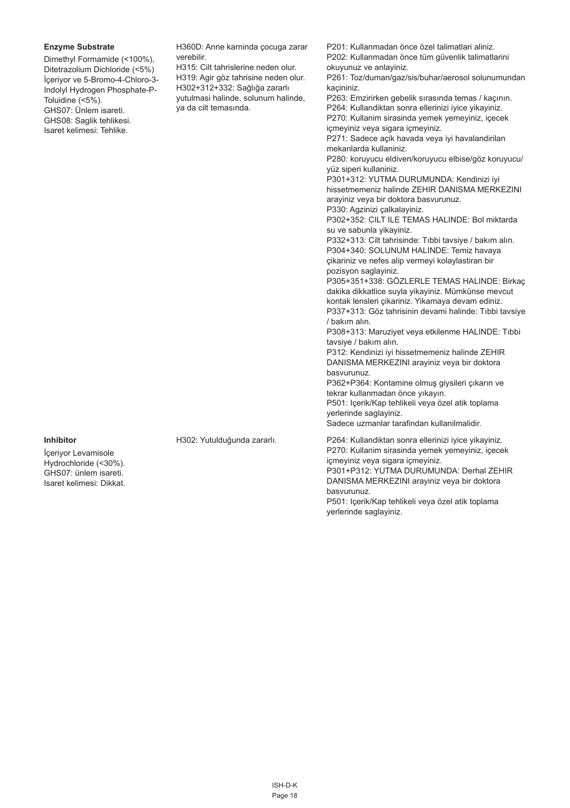Dimethyl Formamide (<100%), Ditetrazolium Dichloride (<5%) İçeriyor ve 5-Bromo-4-Chloro-3- Indolyl Hydrogen Phosphate-P-Toluidine (<5%). GHS07: Ünlem isareti. GHS08: Saglik tehlikesi. Isaret kelimesi: Tehlike.

H360D: Anne karninda çocuga zarar verebilir.

H315: Cilt tahrislerine neden olur. H319: Agir göz tahrisine neden olur. H302+312+332: Sağlığa zararlı yutulmasi halinde, solunum halinde, ya da cilt temasında.

P201: Kullanmadan önce özel talimatlari aliniz. P202: Kullanmadan önce tüm güvenlik talimatlarini okuyunuz ve anlayiniz.

P261: Toz/duman/gaz/sis/buhar/aerosol solunumundan kaçininiz.

P263: Emzirirken gebelik sırasında temas / kaçının. P264: Kullandiktan sonra ellerinizi iyice yikayiniz. P270: Kullanim sirasinda yemek yemeyiniz, içecek içmeyiniz veya sigara içmeyiniz.

P271: Sadece açik havada veya iyi havalandirilan mekanlarda kullaniniz.

P280: koruyucu eldiven/koruyucu elbise/göz koruyucu/ yüz siperi kullaniniz.

P301+312: YUTMA DURUMUNDA: Kendinizi iyi hissetmemeniz halinde ZEHIR DANISMA MERKEZINI arayiniz veya bir doktora basvurunuz. P330: Agzinizi çalkalayiniz.

P302+352: CILT ILE TEMAS HALINDE: Bol miktarda su ve sabunla yikayiniz.

P332+313: Cilt tahrisinde: Tıbbi tavsiye / bakım alın. P304+340: SOLUNUM HALINDE: Temiz havaya çikariniz ve nefes alip vermeyi kolaylastiran bir pozisyon saglayiniz.

P305+351+338: GÖZLERLE TEMAS HALINDE: Birkaç dakika dikkatlice suyla yikayiniz. Mümkünse mevcut kontak lensleri çikariniz. Yikamaya devam ediniz. P337+313: Göz tahrisinin devami halinde: Tıbbi tavsiye / bakım alın.

P308+313: Maruziyet veya etkilenme HALINDE: Tıbbi tavsiye / bakım alın.

P312: Kendinizi iyi hissetmemeniz halinde ZEHIR DANISMA MERKEZINI arayiniz veya bir doktora basvurunuz.

P362+P364: Kontamine olmuş giysileri çıkarın ve tekrar kullanmadan önce yıkayın.

P501: Içerik/Kap tehlikeli veya özel atik toplama yerlerinde saglayiniz.

Sadece uzmanlar tarafindan kullanilmalidir.

H302: Yutulduğunda zararlı. P264: Kullandiktan sonra ellerinizi iyice yikayiniz. P270: Kullanim sirasinda yemek yemeyiniz, içecek içmeyiniz veya sigara içmeyiniz.

P301+P312: YUTMA DURUMUNDA: Derhal ZEHIR DANISMA MERKEZINI arayiniz veya bir doktora basvurunuz.

P501: Içerik/Kap tehlikeli veya özel atik toplama yerlerinde saglayiniz.

# **Inhibitor**

İçeriyor Levamisole Hydrochloride (<30%). GHS07: ünlem isareti. Isaret kelimesi: Dikkat.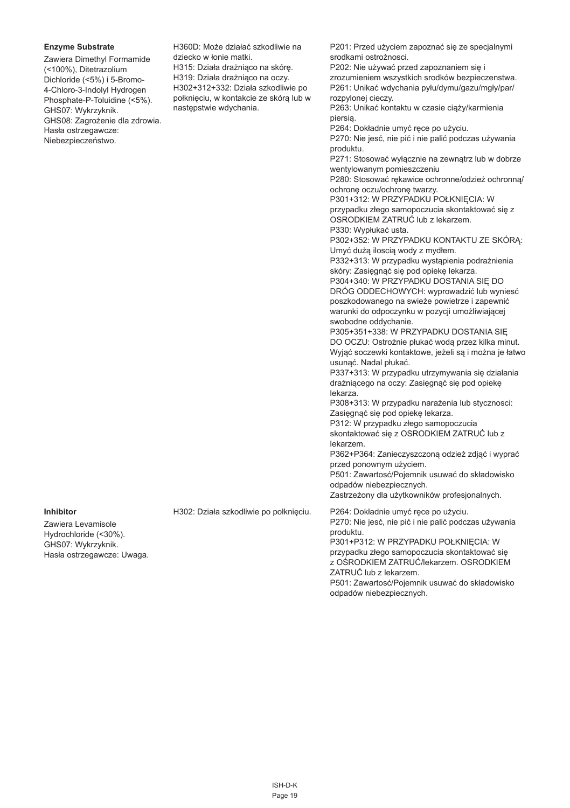Zawiera Dimethyl Formamide (<100%), Ditetrazolium Dichloride (<5%) i 5-Bromo-4-Chloro-3-Indolyl Hydrogen Phosphate-P-Toluidine (<5%). GHS07: Wykrzyknik. GHS08: Zagrożenie dla zdrowia. Hasła ostrzegawcze: Niebezpieczeństwo.

H360D: Może działać szkodliwie na dziecko w łonie matki. H315: Działa drażniąco na skórę. H319: Działa drażniąco na oczy. H302+312+332: Działa szkodliwie po połknięciu, w kontakcie ze skórą lub w następstwie wdychania.

P201: Przed użyciem zapoznać się ze specjalnymi srodkami ostrożnosci.

P202: Nie używać przed zapoznaniem się i

zrozumieniem wszystkich srodków bezpieczenstwa. P261: Unikać wdychania pyłu/dymu/gazu/mgły/par/ rozpylonej cieczy.

P263: Unikać kontaktu w czasie ciąży/karmienia piersią.

P264: Dokładnie umyć ręce po użyciu.

P270: Nie jesć, nie pić i nie palić podczas używania produktu.

P271: Stosować wyłącznie na zewnątrz lub w dobrze wentylowanym pomieszczeniu

P280: Stosować rękawice ochronne/odzież ochronną/ ochronę oczu/ochronę twarzy.

P301+312: W PRZYPADKU POŁKNIĘCIA: W przypadku złego samopoczucia skontaktować się z OSRODKIEM ZATRUĆ lub z lekarzem. P330: Wypłukać usta.

P302+352: W PRZYPADKU KONTAKTU ZE SKÓRĄ: Umyć dużą iloscią wody z mydłem.

P332+313: W przypadku wystąpienia podrażnienia skóry: Zasięgnąć się pod opiekę lekarza.

P304+340: W PRZYPADKU DOSTANIA SIĘ DO DRÓG ODDECHOWYCH: wyprowadzić lub wyniesć poszkodowanego na swieże powietrze i zapewnić warunki do odpoczynku w pozycji umożliwiającej swobodne oddychanie.

P305+351+338: W PRZYPADKU DOSTANIA SIĘ DO OCZU: Ostrożnie płukać wodą przez kilka minut. Wyjąć soczewki kontaktowe, jeżeli są i można je łatwo usunąć. Nadal płukać.

P337+313: W przypadku utrzymywania się działania drażniącego na oczy: Zasięgnąć się pod opiekę lekarza.

P308+313: W przypadku narażenia lub stycznosci: Zasięgnąć się pod opiekę lekarza.

P312: W przypadku złego samopoczucia skontaktować się z OSRODKIEM ZATRUĆ lub z lekarzem.

P362+P364: Zanieczyszczoną odzież zdjąć i wyprać przed ponownym użyciem.

P501: Zawartosć/Pojemnik usuwać do składowisko odpadów niebezpiecznych.

Zastrzeżony dla użytkowników profesjonalnych.

H302: Działa szkodliwie po połknięciu. P264: Dokładnie umyć ręce po użyciu. P270: Nie jesć, nie pić i nie palić podczas używania produktu. P301+P312: W PRZYPADKU POŁKNIĘCIA: W

przypadku złego samopoczucia skontaktować się z OŚRODKIEM ZATRUĆ/lekarzem. OSRODKIEM ZATRUĆ lub z lekarzem.

P501: Zawartosć/Pojemnik usuwać do składowisko odpadów niebezpiecznych.

# **Inhibitor**

Zawiera Levamisole Hydrochloride (<30%). GHS07: Wykrzyknik. Hasła ostrzegawcze: Uwaga.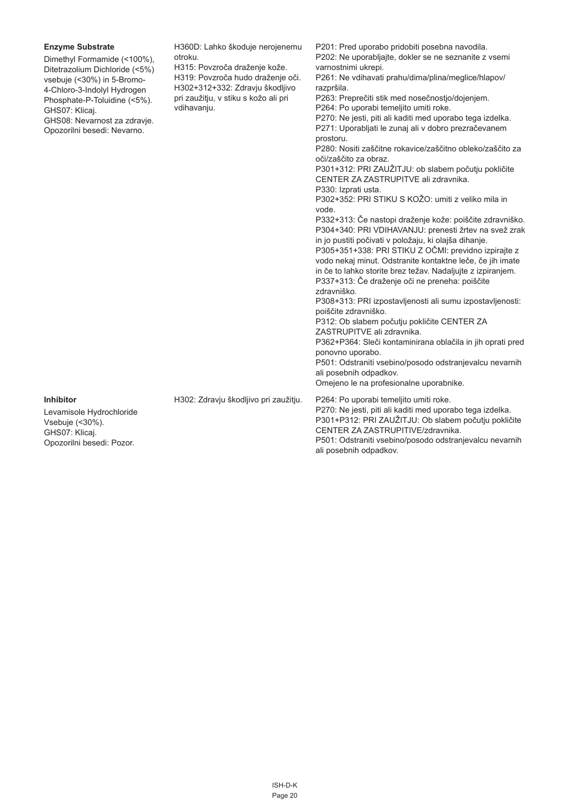| <b>Enzyme Substrate</b><br>Dimethyl Formamide (<100%),<br>Ditetrazolium Dichloride (<5%)<br>vsebuje (<30%) in 5-Bromo-<br>4-Chloro-3-Indolyl Hydrogen<br>Phosphate-P-Toluidine (<5%).<br>GHS07: Klicaj.<br>GHS08: Nevarnost za zdravje.<br>Opozorilni besedi: Nevarno. | H360D: Lahko škoduje nerojenemu<br>otroku.<br>H315: Povzroča draženje kože.<br>H319: Povzroča hudo draženje oči.<br>H302+312+332: Zdravju škodljivo<br>pri zaužitju, v stiku s kožo ali pri<br>vdihavanju. | P201: Pred uporabo pridobiti posebna navodila.<br>P202: Ne uporabljajte, dokler se ne seznanite z vsemi<br>varnostnimi ukrepi.<br>P261: Ne vdihavati prahu/dima/plina/meglice/hlapov/<br>razpršila.<br>P263: Preprečiti stik med nosečnostjo/dojenjem.<br>P264: Po uporabi temeljito umiti roke.<br>P270: Ne jesti, piti ali kaditi med uporabo tega izdelka.<br>P271: Uporabljati le zunaj ali v dobro prezračevanem<br>prostoru.<br>P280: Nositi zaščitne rokavice/zaščitno obleko/zaščito za<br>oči/zaščito za obraz.<br>P301+312: PRI ZAUŽITJU: ob slabem počutju pokličite<br>CENTER ZA ZASTRUPITVE ali zdravnika.<br>P330: Izprati usta.<br>P302+352: PRI STIKU S KOŽO: umiti z veliko mila in<br>vode.<br>P332+313: Če nastopi draženje kože: poiščite zdravniško.<br>P304+340: PRI VDIHAVANJU: prenesti žrtev na svež zrak<br>in jo pustiti počivati v položaju, ki olajša dihanje.<br>P305+351+338: PRI STIKU Z OČMI: previdno izpirajte z<br>vodo nekaj minut. Odstranite kontaktne leče, če jih imate<br>in če to lahko storite brez težav. Nadaljujte z izpiranjem.<br>P337+313: Če draženje oči ne preneha: poiščite<br>zdravniško.<br>P308+313: PRI izpostavljenosti ali sumu izpostavljenosti:<br>poiščite zdravniško.<br>P312: Ob slabem počutju pokličite CENTER ZA<br>ZASTRUPITVE ali zdravnika.<br>P362+P364: Sleči kontaminirana oblačila in jih oprati pred<br>ponovno uporabo.<br>P501: Odstraniti vsebino/posodo odstranjevalcu nevarnih<br>ali posebnih odpadkov.<br>Omejeno le na profesionalne uporabnike. |
|------------------------------------------------------------------------------------------------------------------------------------------------------------------------------------------------------------------------------------------------------------------------|------------------------------------------------------------------------------------------------------------------------------------------------------------------------------------------------------------|--------------------------------------------------------------------------------------------------------------------------------------------------------------------------------------------------------------------------------------------------------------------------------------------------------------------------------------------------------------------------------------------------------------------------------------------------------------------------------------------------------------------------------------------------------------------------------------------------------------------------------------------------------------------------------------------------------------------------------------------------------------------------------------------------------------------------------------------------------------------------------------------------------------------------------------------------------------------------------------------------------------------------------------------------------------------------------------------------------------------------------------------------------------------------------------------------------------------------------------------------------------------------------------------------------------------------------------------------------------------------------------------------------------------------------------------------------------------------------------------------------------------------------------|
| Inhibitor<br>Levamisole Hydrochloride<br>Vsebuje (<30%).<br>GHS07: Klicaj.<br>Opozorilni besedi: Pozor.                                                                                                                                                                | H302: Zdravju škodljivo pri zaužitju.                                                                                                                                                                      | P264: Po uporabi temeljito umiti roke.<br>P270: Ne jesti, piti ali kaditi med uporabo tega izdelka.<br>P301+P312: PRI ZAUŽITJU: Ob slabem počutju pokličite<br>CENTER ZA ZASTRUPITIVE/zdravnika.<br>P501: Odstraniti vsebino/posodo odstranjevalcu nevarnih<br>ali posebnih odpadkov.                                                                                                                                                                                                                                                                                                                                                                                                                                                                                                                                                                                                                                                                                                                                                                                                                                                                                                                                                                                                                                                                                                                                                                                                                                                |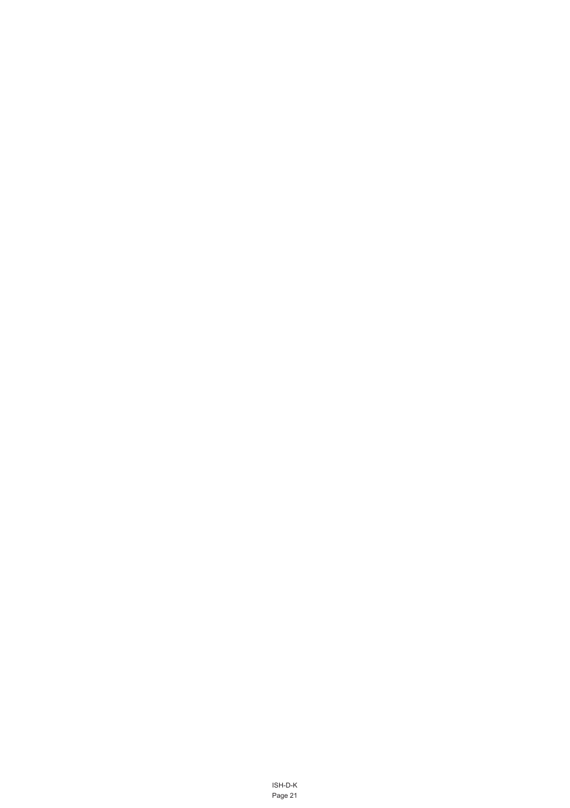ISH-D-K Page 21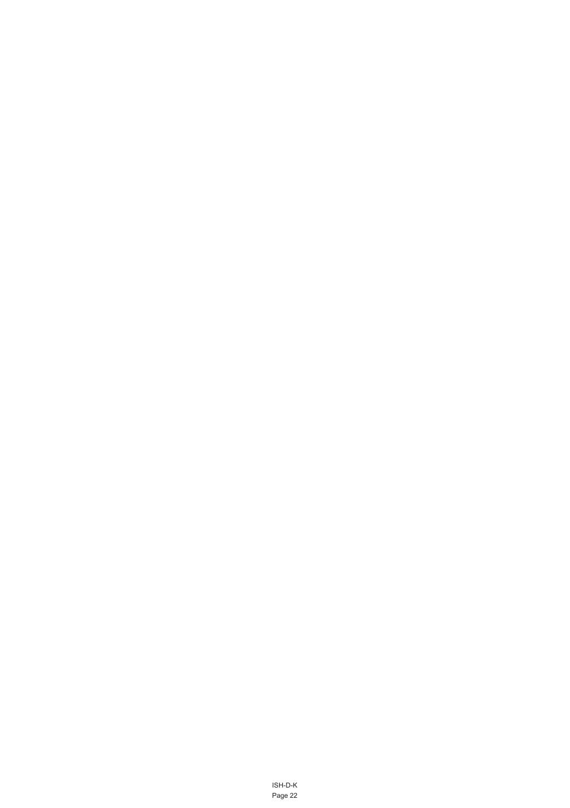ISH-D-K Page 22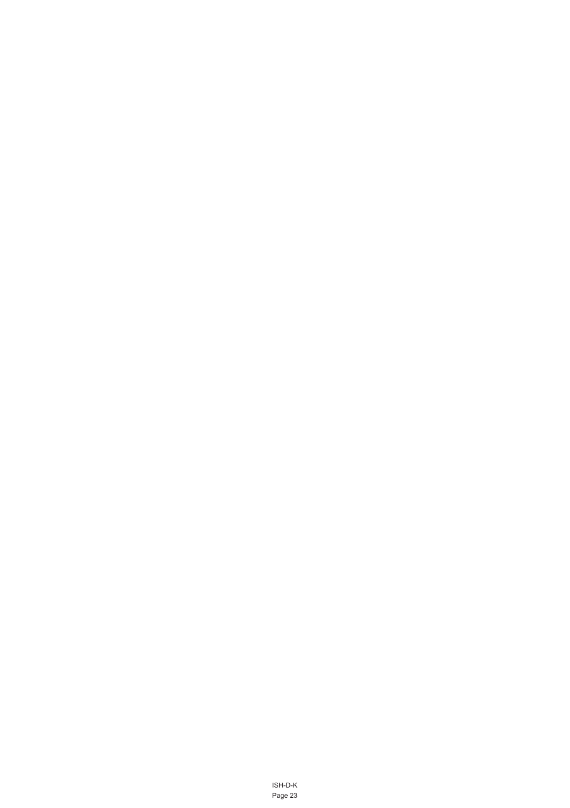ISH-D-K Page 23